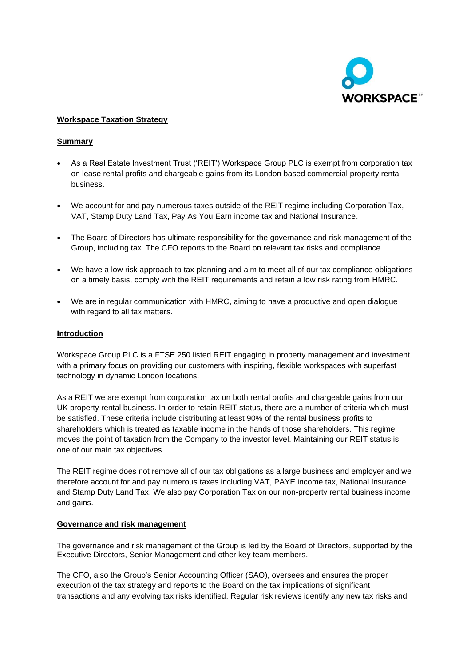

## **Workspace Taxation Strategy**

## **Summary**

- As a Real Estate Investment Trust ('REIT') Workspace Group PLC is exempt from corporation tax on lease rental profits and chargeable gains from its London based commercial property rental business.
- We account for and pay numerous taxes outside of the REIT regime including Corporation Tax, VAT, Stamp Duty Land Tax, Pay As You Earn income tax and National Insurance.
- The Board of Directors has ultimate responsibility for the governance and risk management of the Group, including tax. The CFO reports to the Board on relevant tax risks and compliance.
- We have a low risk approach to tax planning and aim to meet all of our tax compliance obligations on a timely basis, comply with the REIT requirements and retain a low risk rating from HMRC.
- We are in regular communication with HMRC, aiming to have a productive and open dialogue with regard to all tax matters.

### **Introduction**

Workspace Group PLC is a FTSE 250 listed REIT engaging in property management and investment with a primary focus on providing our customers with inspiring, flexible workspaces with superfast technology in dynamic London locations.

As a REIT we are exempt from corporation tax on both rental profits and chargeable gains from our UK property rental business. In order to retain REIT status, there are a number of criteria which must be satisfied. These criteria include distributing at least 90% of the rental business profits to shareholders which is treated as taxable income in the hands of those shareholders. This regime moves the point of taxation from the Company to the investor level. Maintaining our REIT status is one of our main tax objectives.

The REIT regime does not remove all of our tax obligations as a large business and employer and we therefore account for and pay numerous taxes including VAT, PAYE income tax, National Insurance and Stamp Duty Land Tax. We also pay Corporation Tax on our non-property rental business income and gains.

#### **Governance and risk management**

The governance and risk management of the Group is led by the Board of Directors, supported by the Executive Directors, Senior Management and other key team members.

The CFO, also the Group's Senior Accounting Officer (SAO), oversees and ensures the proper execution of the tax strategy and reports to the Board on the tax implications of significant transactions and any evolving tax risks identified. Regular risk reviews identify any new tax risks and